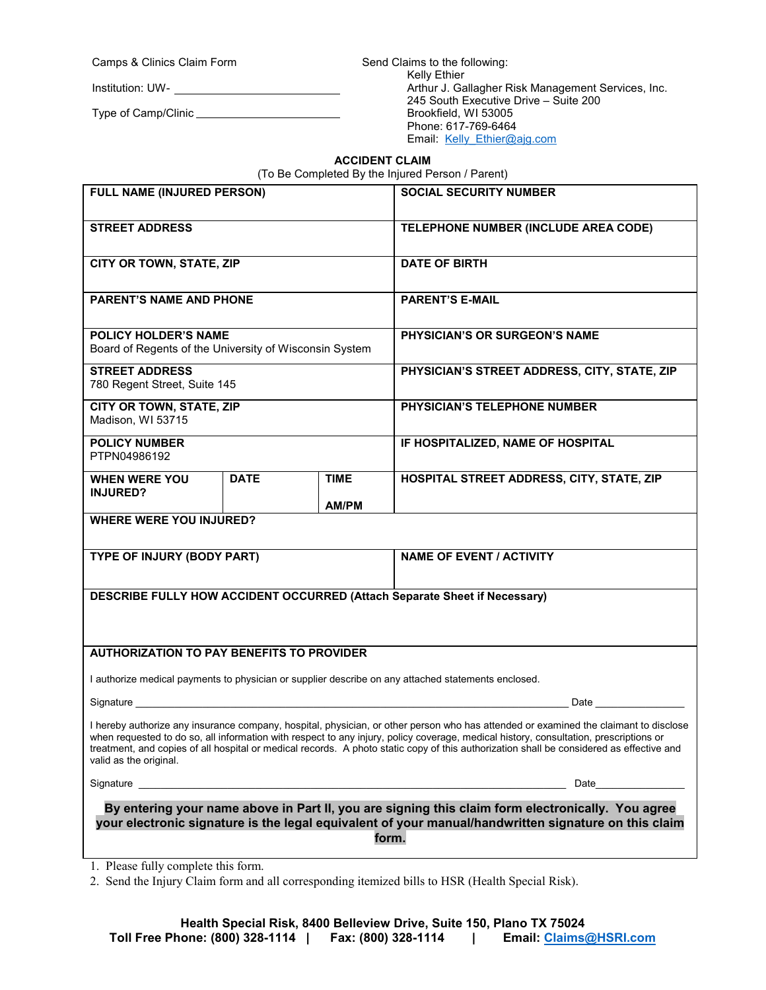Camps & Clinics Claim Form

Institution: UW-

Type of Camp/Clinic

Send Claims to the following: Kelly Ethier Arthur J. Gallagher Risk Management Services, Inc. 245 South Executive Drive – Suite 200 Brookfield, WI 53005 Phone: 617-769-6464 Email: Kelly Ethier@ajg.com

## **ACCIDENT CLAIM**

(To Be Completed By the Injured Person / Parent)

| FULL NAME (INJURED PERSON)                                                                                                                                                                                         |             |                             | <b>SOCIAL SECURITY NUMBER</b>                                                                                                                                                                                                                                                                                                                                                                                             |  |
|--------------------------------------------------------------------------------------------------------------------------------------------------------------------------------------------------------------------|-------------|-----------------------------|---------------------------------------------------------------------------------------------------------------------------------------------------------------------------------------------------------------------------------------------------------------------------------------------------------------------------------------------------------------------------------------------------------------------------|--|
| <b>STREET ADDRESS</b>                                                                                                                                                                                              |             |                             | TELEPHONE NUMBER (INCLUDE AREA CODE)                                                                                                                                                                                                                                                                                                                                                                                      |  |
| CITY OR TOWN, STATE, ZIP                                                                                                                                                                                           |             |                             | <b>DATE OF BIRTH</b>                                                                                                                                                                                                                                                                                                                                                                                                      |  |
| <b>PARENT'S NAME AND PHONE</b>                                                                                                                                                                                     |             |                             | <b>PARENT'S E-MAIL</b>                                                                                                                                                                                                                                                                                                                                                                                                    |  |
| <b>POLICY HOLDER'S NAME</b><br>Board of Regents of the University of Wisconsin System                                                                                                                              |             |                             | PHYSICIAN'S OR SURGEON'S NAME                                                                                                                                                                                                                                                                                                                                                                                             |  |
| <b>STREET ADDRESS</b><br>780 Regent Street, Suite 145                                                                                                                                                              |             |                             | PHYSICIAN'S STREET ADDRESS, CITY, STATE, ZIP                                                                                                                                                                                                                                                                                                                                                                              |  |
| CITY OR TOWN, STATE, ZIP<br>Madison, WI 53715                                                                                                                                                                      |             |                             | PHYSICIAN'S TELEPHONE NUMBER                                                                                                                                                                                                                                                                                                                                                                                              |  |
| <b>POLICY NUMBER</b><br>PTPN04986192                                                                                                                                                                               |             |                             | IF HOSPITALIZED, NAME OF HOSPITAL                                                                                                                                                                                                                                                                                                                                                                                         |  |
| <b>WHEN WERE YOU</b><br><b>INJURED?</b>                                                                                                                                                                            | <b>DATE</b> | <b>TIME</b><br><b>AM/PM</b> | HOSPITAL STREET ADDRESS, CITY, STATE, ZIP                                                                                                                                                                                                                                                                                                                                                                                 |  |
| <b>WHERE WERE YOU INJURED?</b>                                                                                                                                                                                     |             |                             |                                                                                                                                                                                                                                                                                                                                                                                                                           |  |
| TYPE OF INJURY (BODY PART)                                                                                                                                                                                         |             |                             | <b>NAME OF EVENT / ACTIVITY</b>                                                                                                                                                                                                                                                                                                                                                                                           |  |
| <b>DESCRIBE FULLY HOW ACCIDENT OCCURRED (Attach Separate Sheet if Necessary)</b>                                                                                                                                   |             |                             |                                                                                                                                                                                                                                                                                                                                                                                                                           |  |
| <b>AUTHORIZATION TO PAY BENEFITS TO PROVIDER</b>                                                                                                                                                                   |             |                             |                                                                                                                                                                                                                                                                                                                                                                                                                           |  |
|                                                                                                                                                                                                                    |             |                             | I authorize medical payments to physician or supplier describe on any attached statements enclosed.                                                                                                                                                                                                                                                                                                                       |  |
|                                                                                                                                                                                                                    |             |                             | <b>Date Date</b>                                                                                                                                                                                                                                                                                                                                                                                                          |  |
| valid as the original.                                                                                                                                                                                             |             |                             | I hereby authorize any insurance company, hospital, physician, or other person who has attended or examined the claimant to disclose<br>when requested to do so, all information with respect to any injury, policy coverage, medical history, consultation, prescriptions or<br>treatment, and copies of all hospital or medical records. A photo static copy of this authorization shall be considered as effective and |  |
|                                                                                                                                                                                                                    |             |                             | Date                                                                                                                                                                                                                                                                                                                                                                                                                      |  |
| By entering your name above in Part II, you are signing this claim form electronically. You agree<br>your electronic signature is the legal equivalent of your manual/handwritten signature on this claim<br>form. |             |                             |                                                                                                                                                                                                                                                                                                                                                                                                                           |  |

1. Please fully complete this form.

2. Send the Injury Claim form and all corresponding itemized bills to HSR (Health Special Risk).